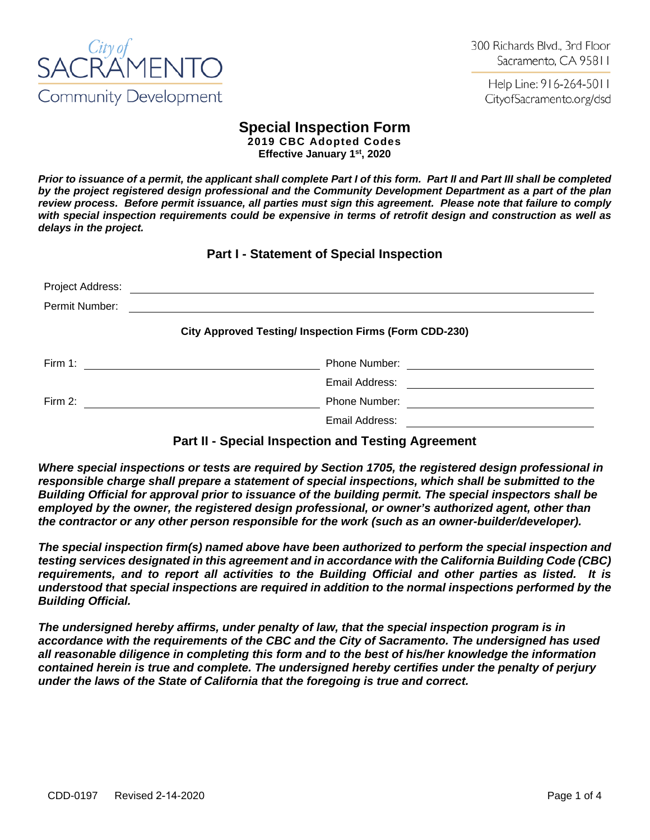

Help Line: 916-264-5011 CityofSacramento.org/dsd

# **Special Inspection Form**

**2019 CBC Adopted Codes Effective January 1st, 2020**

*Prior to issuance of a permit, the applicant shall complete Part I of this form. Part II and Part III shall be completed by the project registered design professional and the Community Development Department as a part of the plan review process. Before permit issuance, all parties must sign this agreement. Please note that failure to comply with special inspection requirements could be expensive in terms of retrofit design and construction as well as delays in the project.*

**Part I - Statement of Special Inspection**

| Project Address:                                             | <u> 1980 - Jan Samuel Barbara, martin di sebagai personal di sebagai personal di sebagai personal di sebagai per</u>                                                 |  |  |  |  |
|--------------------------------------------------------------|----------------------------------------------------------------------------------------------------------------------------------------------------------------------|--|--|--|--|
| Permit Number:                                               |                                                                                                                                                                      |  |  |  |  |
| <b>City Approved Testing/Inspection Firms (Form CDD-230)</b> |                                                                                                                                                                      |  |  |  |  |
| Firm 1:                                                      | Phone Number: <u>_______________________</u><br><u> 1980 - Jan Samuel Barbara, martin di sebagai personal di sebagai personal di sebagai personal di sebagai per</u> |  |  |  |  |
|                                                              | Email Address:                                                                                                                                                       |  |  |  |  |
| Firm $2$ :                                                   | <b>Phone Number:</b>                                                                                                                                                 |  |  |  |  |
|                                                              | Email Address:                                                                                                                                                       |  |  |  |  |

## **Part II - Special Inspection and Testing Agreement**

*Where special inspections or tests are required by Section 1705, the registered design professional in responsible charge shall prepare a statement of special inspections, which shall be submitted to the Building Official for approval prior to issuance of the building permit. The special inspectors shall be employed by the owner, the registered design professional, or owner's authorized agent, other than the contractor or any other person responsible for the work (such as an owner-builder/developer).*

*The special inspection firm(s) named above have been authorized to perform the special inspection and testing services designated in this agreement and in accordance with the California Building Code (CBC) requirements, and to report all activities to the Building Official and other parties as listed. It is understood that special inspections are required in addition to the normal inspections performed by the Building Official.* 

*The undersigned hereby affirms, under penalty of law, that the special inspection program is in accordance with the requirements of the CBC and the City of Sacramento. The undersigned has used all reasonable diligence in completing this form and to the best of his/her knowledge the information contained herein is true and complete. The undersigned hereby certifies under the penalty of perjury under the laws of the State of California that the foregoing is true and correct.*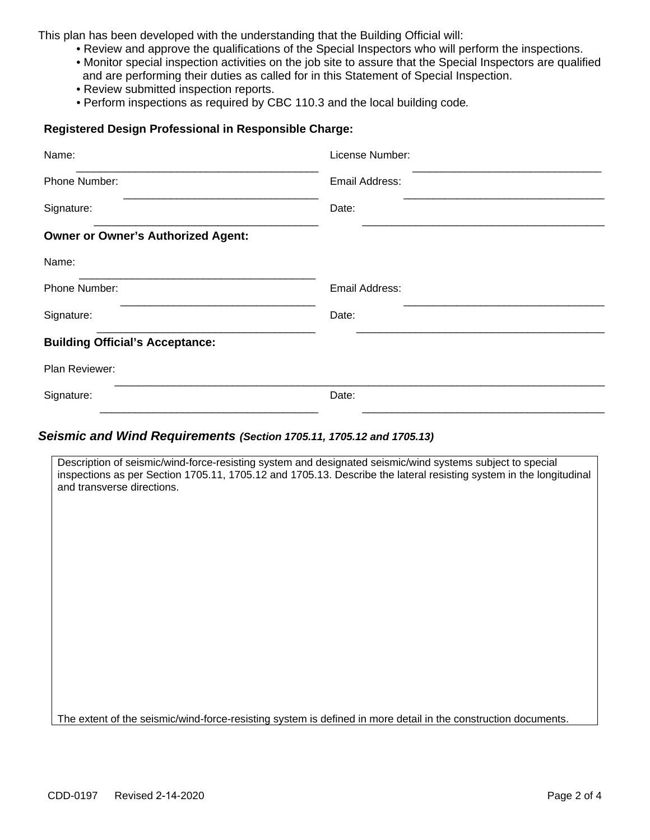This plan has been developed with the understanding that the Building Official will:

- Review and approve the qualifications of the Special Inspectors who will perform the inspections.
- Monitor special inspection activities on the job site to assure that the Special Inspectors are qualified and are performing their duties as called for in this Statement of Special Inspection.
- Review submitted inspection reports.
- *•* Perform inspections as required by CBC 110.3 and the local building code*.*

### **Registered Design Professional in Responsible Charge:**

| Name:                                     | License Number: |
|-------------------------------------------|-----------------|
| Phone Number:                             | Email Address:  |
| Signature:                                | Date:           |
| <b>Owner or Owner's Authorized Agent:</b> |                 |
| Name:                                     |                 |
| Phone Number:                             | Email Address:  |
| Signature:                                | Date:           |
| <b>Building Official's Acceptance:</b>    |                 |
| Plan Reviewer:                            |                 |
| Signature:                                | Date:           |

#### *Seismic and Wind Requirements (Section 1705.11, 1705.12 and 1705.13)*

Description of seismic/wind-force-resisting system and designated seismic/wind systems subject to special inspections as per Section 1705.11, 1705.12 and 1705.13. Describe the lateral resisting system in the longitudinal and transverse directions.

The extent of the seismic/wind-force-resisting system is defined in more detail in the construction documents.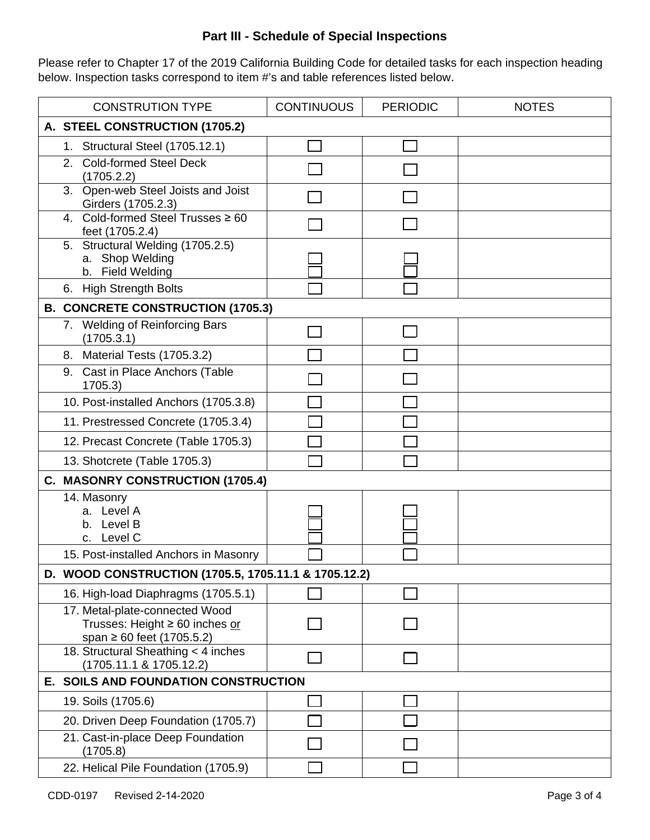## **Part III - Schedule of Special Inspections**

Please refer to Chapter 17 of the 2019 California Building Code for detailed tasks for each inspection heading below. Inspection tasks correspond to item #'s and table references listed below.

| <b>CONSTRUTION TYPE</b> |                                                                                                         | <b>CONTINUOUS</b> | <b>PERIODIC</b> | <b>NOTES</b> |  |  |  |
|-------------------------|---------------------------------------------------------------------------------------------------------|-------------------|-----------------|--------------|--|--|--|
|                         | A. STEEL CONSTRUCTION (1705.2)                                                                          |                   |                 |              |  |  |  |
|                         | 1. Structural Steel (1705.12.1)                                                                         |                   |                 |              |  |  |  |
|                         | 2. Cold-formed Steel Deck<br>(1705.2.2)                                                                 |                   |                 |              |  |  |  |
|                         | 3. Open-web Steel Joists and Joist<br>Girders (1705.2.3)                                                |                   |                 |              |  |  |  |
|                         | 4. Cold-formed Steel Trusses ≥ 60<br>feet (1705.2.4)                                                    |                   |                 |              |  |  |  |
|                         | 5. Structural Welding (1705.2.5)<br>a. Shop Welding<br>b. Field Welding                                 |                   |                 |              |  |  |  |
|                         | 6. High Strength Bolts                                                                                  |                   |                 |              |  |  |  |
|                         | <b>B. CONCRETE CONSTRUCTION (1705.3)</b>                                                                |                   |                 |              |  |  |  |
|                         | 7. Welding of Reinforcing Bars<br>(1705.3.1)                                                            |                   |                 |              |  |  |  |
|                         | 8. Material Tests (1705.3.2)                                                                            |                   |                 |              |  |  |  |
|                         | 9. Cast in Place Anchors (Table<br>1705.3)                                                              |                   |                 |              |  |  |  |
|                         | 10. Post-installed Anchors (1705.3.8)                                                                   |                   |                 |              |  |  |  |
|                         | 11. Prestressed Concrete (1705.3.4)                                                                     |                   |                 |              |  |  |  |
|                         | 12. Precast Concrete (Table 1705.3)                                                                     |                   |                 |              |  |  |  |
|                         | 13. Shotcrete (Table 1705.3)                                                                            |                   |                 |              |  |  |  |
|                         | C. MASONRY CONSTRUCTION (1705.4)                                                                        |                   |                 |              |  |  |  |
|                         | 14. Masonry<br>a. Level A<br>b. Level B<br>c. Level C                                                   |                   |                 |              |  |  |  |
|                         | 15. Post-installed Anchors in Masonry                                                                   |                   |                 |              |  |  |  |
|                         | D. WOOD CONSTRUCTION (1705.5, 1705.11.1 & 1705.12.2)                                                    |                   |                 |              |  |  |  |
|                         | 16. High-load Diaphragms (1705.5.1)                                                                     |                   |                 |              |  |  |  |
|                         | 17. Metal-plate-connected Wood<br>Trusses: Height $\geq 60$ inches or<br>span $\geq 60$ feet (1705.5.2) |                   |                 |              |  |  |  |
|                         | 18. Structural Sheathing < 4 inches<br>$(1705.11.1 \& 1705.12.2)$                                       |                   |                 |              |  |  |  |
|                         | E. SOILS AND FOUNDATION CONSTRUCTION                                                                    |                   |                 |              |  |  |  |
|                         | 19. Soils (1705.6)                                                                                      |                   |                 |              |  |  |  |
|                         | 20. Driven Deep Foundation (1705.7)                                                                     |                   |                 |              |  |  |  |
|                         | 21. Cast-in-place Deep Foundation<br>(1705.8)                                                           |                   |                 |              |  |  |  |
|                         | 22. Helical Pile Foundation (1705.9)                                                                    |                   |                 |              |  |  |  |